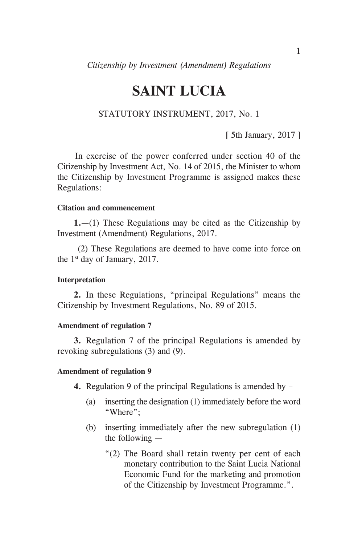# **SAINT LUCIA**

## STATUTORY INSTRUMENT, 2017, No. 1

[ 5th January, 2017 ]

 In exercise of the power conferred under section 40 of the Citizenship by Investment Act, No. 14 of 2015, the Minister to whom the Citizenship by Investment Programme is assigned makes these Regulations:

#### **Citation and commencement**

**1.**—(1) These Regulations may be cited as the Citizenship by Investment (Amendment) Regulations, 2017.

 (2) These Regulations are deemed to have come into force on the  $1<sup>st</sup>$  day of January, 2017.

## **Interpretation**

**2.** In these Regulations, "principal Regulations" means the Citizenship by Investment Regulations, No. 89 of 2015.

## **Amendment of regulation 7**

**3.** Regulation 7 of the principal Regulations is amended by revoking subregulations (3) and (9).

#### **Amendment of regulation 9**

- **4.** Regulation 9 of the principal Regulations is amended by
	- (a) inserting the designation (1) immediately before the word "Where";
	- (b) inserting immediately after the new subregulation (1) the following —
		- "(2) The Board shall retain twenty per cent of each monetary contribution to the Saint Lucia National Economic Fund for the marketing and promotion of the Citizenship by Investment Programme.".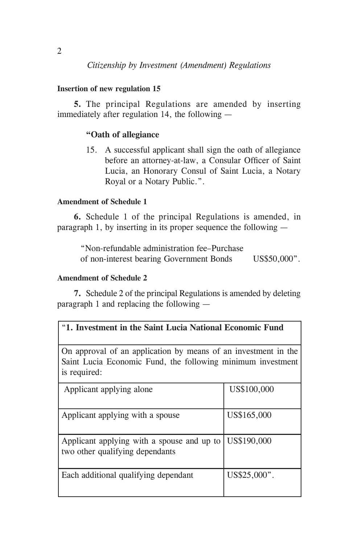# *Citizenship by Investment (Amendment) Regulations*

# **Insertion of new regulation 15**

**5.** The principal Regulations are amended by inserting immediately after regulation 14, the following —

# **"Oath of allegiance**

15. A successful applicant shall sign the oath of allegiance before an attorney-at-law, a Consular Officer of Saint Lucia, an Honorary Consul of Saint Lucia, a Notary Royal or a Notary Public.".

# **Amendment of Schedule 1**

**6.** Schedule 1 of the principal Regulations is amended, in paragraph 1, by inserting in its proper sequence the following —

 "Non-refundable administration fee–Purchase of non-interest bearing Government Bonds US\$50,000".

# **Amendment of Schedule 2**

**7.** Schedule 2 of the principal Regulations is amended by deleting paragraph 1 and replacing the following —

|  | "1. Investment in the Saint Lucia National Economic Fund |  |  |  |  |  |  |  |
|--|----------------------------------------------------------|--|--|--|--|--|--|--|
|--|----------------------------------------------------------|--|--|--|--|--|--|--|

On approval of an application by means of an investment in the Saint Lucia Economic Fund, the following minimum investment is required:

| Applicant applying alone                                                               | US\$100,000  |
|----------------------------------------------------------------------------------------|--------------|
| Applicant applying with a spouse                                                       | US\$165,000  |
| Applicant applying with a spouse and up to US\$190,000 two other qualifying dependants |              |
| Each additional qualifying dependant                                                   | US\$25,000". |